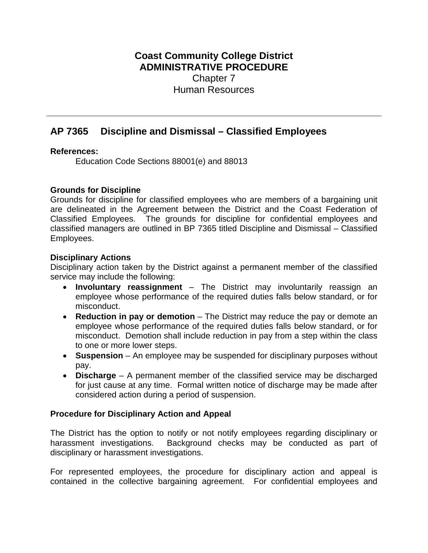# **Coast Community College District ADMINISTRATIVE PROCEDURE** Chapter 7 Human Resources

# **AP 7365 Discipline and Dismissal – Classified Employees**

## **References:**

Education Code Sections 88001(e) and 88013

## **Grounds for Discipline**

Grounds for discipline for classified employees who are members of a bargaining unit are delineated in the Agreement between the District and the Coast Federation of Classified Employees. The grounds for discipline for confidential employees and classified managers are outlined in BP 7365 titled Discipline and Dismissal – Classified Employees.

#### **Disciplinary Actions**

Disciplinary action taken by the District against a permanent member of the classified service may include the following:

- **Involuntary reassignment** The District may involuntarily reassign an employee whose performance of the required duties falls below standard, or for misconduct.
- **Reduction in pay or demotion** The District may reduce the pay or demote an employee whose performance of the required duties falls below standard, or for misconduct. Demotion shall include reduction in pay from a step within the class to one or more lower steps.
- **Suspension** An employee may be suspended for disciplinary purposes without pay.
- **Discharge** A permanent member of the classified service may be discharged for just cause at any time. Formal written notice of discharge may be made after considered action during a period of suspension.

## **Procedure for Disciplinary Action and Appeal**

The District has the option to notify or not notify employees regarding disciplinary or harassment investigations. Background checks may be conducted as part of disciplinary or harassment investigations.

For represented employees, the procedure for disciplinary action and appeal is contained in the collective bargaining agreement. For confidential employees and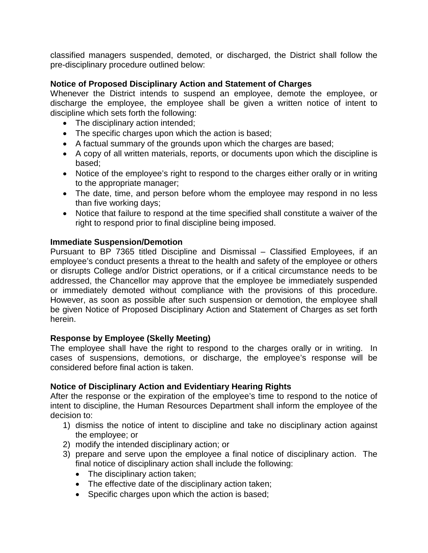classified managers suspended, demoted, or discharged, the District shall follow the pre-disciplinary procedure outlined below:

## **Notice of Proposed Disciplinary Action and Statement of Charges**

Whenever the District intends to suspend an employee, demote the employee, or discharge the employee, the employee shall be given a written notice of intent to discipline which sets forth the following:

- The disciplinary action intended;
- The specific charges upon which the action is based;
- A factual summary of the grounds upon which the charges are based;
- A copy of all written materials, reports, or documents upon which the discipline is based;
- Notice of the employee's right to respond to the charges either orally or in writing to the appropriate manager;
- The date, time, and person before whom the employee may respond in no less than five working days;
- Notice that failure to respond at the time specified shall constitute a waiver of the right to respond prior to final discipline being imposed.

#### **Immediate Suspension/Demotion**

Pursuant to BP 7365 titled Discipline and Dismissal – Classified Employees, if an employee's conduct presents a threat to the health and safety of the employee or others or disrupts College and/or District operations, or if a critical circumstance needs to be addressed, the Chancellor may approve that the employee be immediately suspended or immediately demoted without compliance with the provisions of this procedure. However, as soon as possible after such suspension or demotion, the employee shall be given Notice of Proposed Disciplinary Action and Statement of Charges as set forth herein.

## **Response by Employee (Skelly Meeting)**

The employee shall have the right to respond to the charges orally or in writing. In cases of suspensions, demotions, or discharge, the employee's response will be considered before final action is taken.

## **Notice of Disciplinary Action and Evidentiary Hearing Rights**

After the response or the expiration of the employee's time to respond to the notice of intent to discipline, the Human Resources Department shall inform the employee of the decision to:

- 1) dismiss the notice of intent to discipline and take no disciplinary action against the employee; or
- 2) modify the intended disciplinary action; or
- 3) prepare and serve upon the employee a final notice of disciplinary action. The final notice of disciplinary action shall include the following:
	- The disciplinary action taken;
	- The effective date of the disciplinary action taken;
	- Specific charges upon which the action is based;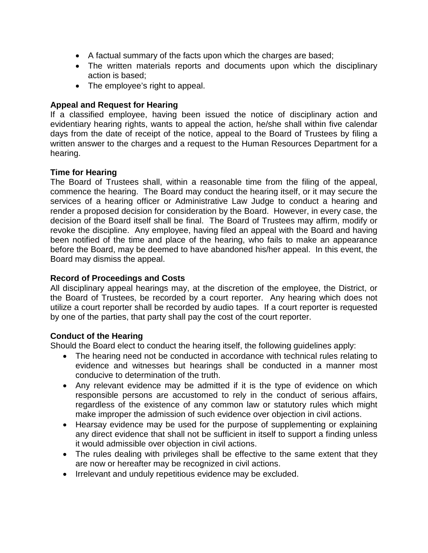- A factual summary of the facts upon which the charges are based;
- The written materials reports and documents upon which the disciplinary action is based;
- The employee's right to appeal.

# **Appeal and Request for Hearing**

If a classified employee, having been issued the notice of disciplinary action and evidentiary hearing rights, wants to appeal the action, he/she shall within five calendar days from the date of receipt of the notice, appeal to the Board of Trustees by filing a written answer to the charges and a request to the Human Resources Department for a hearing.

# **Time for Hearing**

The Board of Trustees shall, within a reasonable time from the filing of the appeal, commence the hearing. The Board may conduct the hearing itself, or it may secure the services of a hearing officer or Administrative Law Judge to conduct a hearing and render a proposed decision for consideration by the Board. However, in every case, the decision of the Board itself shall be final. The Board of Trustees may affirm, modify or revoke the discipline. Any employee, having filed an appeal with the Board and having been notified of the time and place of the hearing, who fails to make an appearance before the Board, may be deemed to have abandoned his/her appeal. In this event, the Board may dismiss the appeal.

# **Record of Proceedings and Costs**

All disciplinary appeal hearings may, at the discretion of the employee, the District, or the Board of Trustees, be recorded by a court reporter. Any hearing which does not utilize a court reporter shall be recorded by audio tapes. If a court reporter is requested by one of the parties, that party shall pay the cost of the court reporter.

## **Conduct of the Hearing**

Should the Board elect to conduct the hearing itself, the following guidelines apply:

- The hearing need not be conducted in accordance with technical rules relating to evidence and witnesses but hearings shall be conducted in a manner most conducive to determination of the truth.
- Any relevant evidence may be admitted if it is the type of evidence on which responsible persons are accustomed to rely in the conduct of serious affairs, regardless of the existence of any common law or statutory rules which might make improper the admission of such evidence over objection in civil actions.
- Hearsay evidence may be used for the purpose of supplementing or explaining any direct evidence that shall not be sufficient in itself to support a finding unless it would admissible over objection in civil actions.
- The rules dealing with privileges shall be effective to the same extent that they are now or hereafter may be recognized in civil actions.
- Irrelevant and unduly repetitious evidence may be excluded.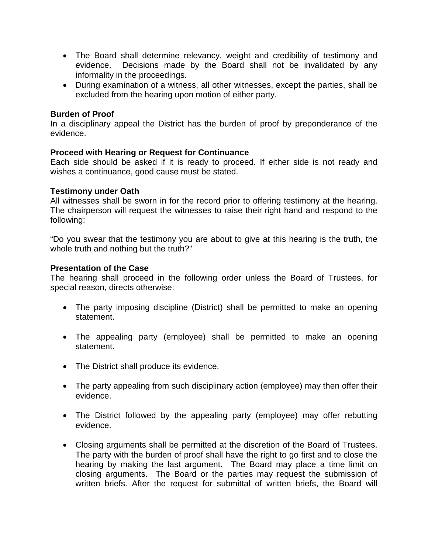- The Board shall determine relevancy, weight and credibility of testimony and evidence. Decisions made by the Board shall not be invalidated by any informality in the proceedings.
- During examination of a witness, all other witnesses, except the parties, shall be excluded from the hearing upon motion of either party.

#### **Burden of Proof**

In a disciplinary appeal the District has the burden of proof by preponderance of the evidence.

## **Proceed with Hearing or Request for Continuance**

Each side should be asked if it is ready to proceed. If either side is not ready and wishes a continuance, good cause must be stated.

#### **Testimony under Oath**

All witnesses shall be sworn in for the record prior to offering testimony at the hearing. The chairperson will request the witnesses to raise their right hand and respond to the following:

"Do you swear that the testimony you are about to give at this hearing is the truth, the whole truth and nothing but the truth?"

#### **Presentation of the Case**

The hearing shall proceed in the following order unless the Board of Trustees, for special reason, directs otherwise:

- The party imposing discipline (District) shall be permitted to make an opening statement.
- The appealing party (employee) shall be permitted to make an opening statement.
- The District shall produce its evidence.
- The party appealing from such disciplinary action (employee) may then offer their evidence.
- The District followed by the appealing party (employee) may offer rebutting evidence.
- Closing arguments shall be permitted at the discretion of the Board of Trustees. The party with the burden of proof shall have the right to go first and to close the hearing by making the last argument. The Board may place a time limit on closing arguments. The Board or the parties may request the submission of written briefs. After the request for submittal of written briefs, the Board will